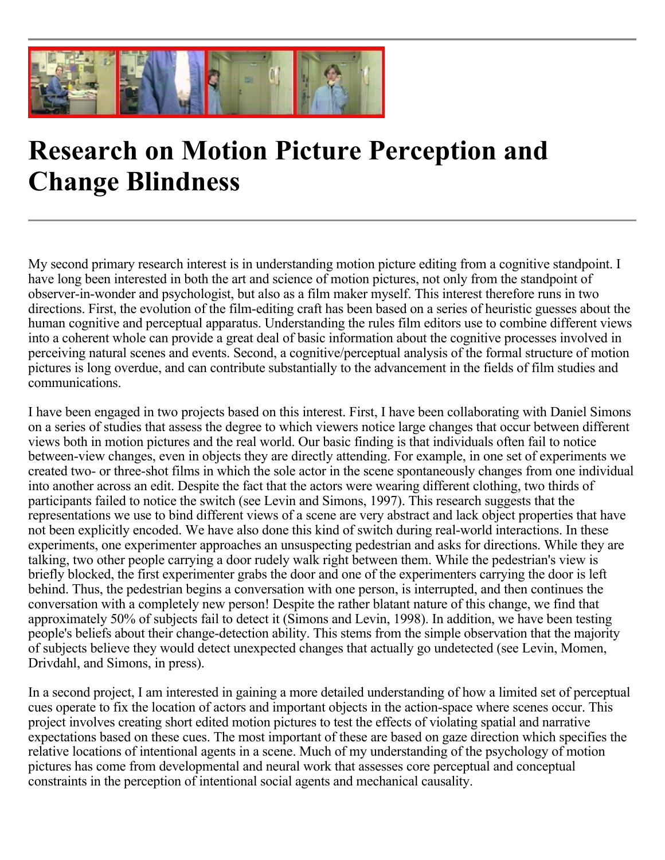

## **Research on Motion Picture Perception and Change Blindness**

My second primary research interest is in understanding motion picture editing from a cognitive standpoint. I have long been interested in both the art and science of motion pictures, not only from the standpoint of observer-in-wonder and psychologist, but also as a film maker myself. This interest therefore runs in two directions. First, the evolution of the film-editing craft has been based on a series of heuristic guesses about the human cognitive and perceptual apparatus. Understanding the rules film editors use to combine different views into a coherent whole can provide a great deal of basic information about the cognitive processes involved in perceiving natural scenes and events. Second, a cognitive/perceptual analysis of the formal structure of motion pictures is long overdue, and can contribute substantially to the advancement in the fields of film studies and communications.

I have been engaged in two projects based on this interest. First, I have been collaborating with Daniel Simons on a series of studies that assess the degree to which viewers notice large changes that occur between different views both in motion pictures and the real world. Our basic finding is that individuals often fail to notice between-view changes, even in objects they are directly attending. For example, in one set of experiments we created two- or three-shot films in which the sole actor in the scene spontaneously changes from one individual into another across an edit. Despite the fact that the actors were wearing different clothing, two thirds of participants failed to notice the switch (see Levin and Simons, 1997). This research suggests that the representations we use to bind different views of a scene are very abstract and lack object properties that have not been explicitly encoded. We have also done this kind of switch during real-world interactions. In these experiments, one experimenter approaches an unsuspecting pedestrian and asks for directions. While they are talking, two other people carrying a door rudely walk right between them. While the pedestrian's view is briefly blocked, the first experimenter grabs the door and one of the experimenters carrying the door is left behind. Thus, the pedestrian begins a conversation with one person, is interrupted, and then continues the conversation with a completely new person! Despite the rather blatant nature of this change, we find that approximately 50% of subjects fail to detect it (Simons and Levin, 1998). In addition, we have been testing people's beliefs about their change-detection ability. This stems from the simple observation that the majority of subjects believe they would detect unexpected changes that actually go undetected (see Levin, Momen, Drivdahl, and Simons, in press).

In a second project, I am interested in gaining a more detailed understanding of how a limited set of perceptual cues operate to fix the location of actors and important objects in the action-space where scenes occur. This project involves creating short edited motion pictures to test the effects of violating spatial and narrative expectations based on these cues. The most important of these are based on gaze direction which specifies the relative locations of intentional agents in a scene. Much of my understanding of the psychology of motion pictures has come from developmental and neural work that assesses core perceptual and conceptual constraints in the perception of intentional social agents and mechanical causality.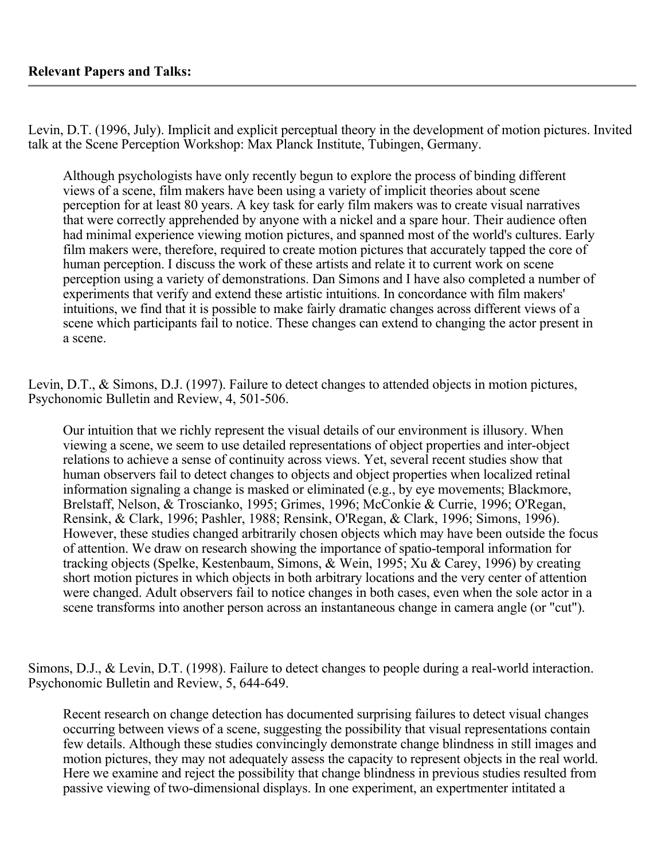Levin, D.T. (1996, July). Implicit and explicit perceptual theory in the development of motion pictures. Invited talk at the Scene Perception Workshop: Max Planck Institute, Tubingen, Germany.

Although psychologists have only recently begun to explore the process of binding different views of a scene, film makers have been using a variety of implicit theories about scene perception for at least 80 years. A key task for early film makers was to create visual narratives that were correctly apprehended by anyone with a nickel and a spare hour. Their audience often had minimal experience viewing motion pictures, and spanned most of the world's cultures. Early film makers were, therefore, required to create motion pictures that accurately tapped the core of human perception. I discuss the work of these artists and relate it to current work on scene perception using a variety of demonstrations. Dan Simons and I have also completed a number of experiments that verify and extend these artistic intuitions. In concordance with film makers' intuitions, we find that it is possible to make fairly dramatic changes across different views of a scene which participants fail to notice. These changes can extend to changing the actor present in a scene.

Levin, D.T., & Simons, D.J. (1997). Failure to detect changes to attended objects in motion pictures, Psychonomic Bulletin and Review, 4, 501-506.

Our intuition that we richly represent the visual details of our environment is illusory. When viewing a scene, we seem to use detailed representations of object properties and inter-object relations to achieve a sense of continuity across views. Yet, several recent studies show that human observers fail to detect changes to objects and object properties when localized retinal information signaling a change is masked or eliminated (e.g., by eye movements; Blackmore, Brelstaff, Nelson, & Troscianko, 1995; Grimes, 1996; McConkie & Currie, 1996; O'Regan, Rensink, & Clark, 1996; Pashler, 1988; Rensink, O'Regan, & Clark, 1996; Simons, 1996). However, these studies changed arbitrarily chosen objects which may have been outside the focus of attention. We draw on research showing the importance of spatio-temporal information for tracking objects (Spelke, Kestenbaum, Simons, & Wein, 1995; Xu & Carey, 1996) by creating short motion pictures in which objects in both arbitrary locations and the very center of attention were changed. Adult observers fail to notice changes in both cases, even when the sole actor in a scene transforms into another person across an instantaneous change in camera angle (or "cut").

Simons, D.J., & Levin, D.T. (1998). Failure to detect changes to people during a real-world interaction. Psychonomic Bulletin and Review, 5, 644-649.

Recent research on change detection has documented surprising failures to detect visual changes occurring between views of a scene, suggesting the possibility that visual representations contain few details. Although these studies convincingly demonstrate change blindness in still images and motion pictures, they may not adequately assess the capacity to represent objects in the real world. Here we examine and reject the possibility that change blindness in previous studies resulted from passive viewing of two-dimensional displays. In one experiment, an expertmenter intitated a